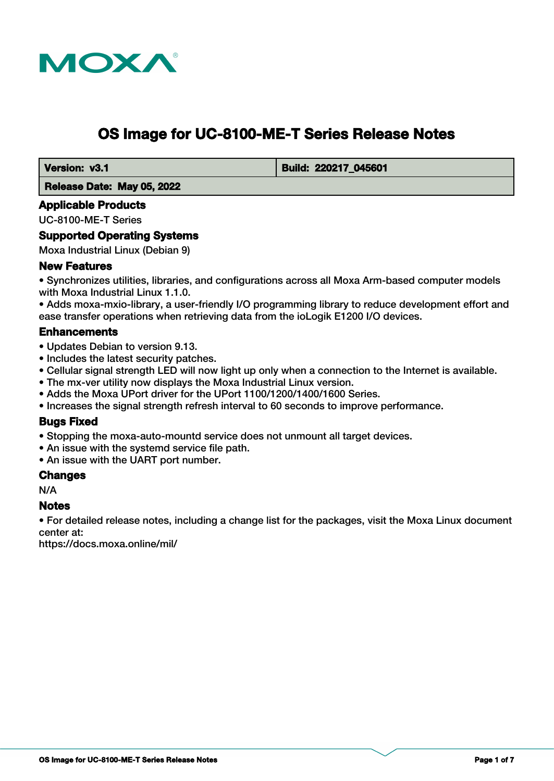

# **OS Image for UC-8100-ME-T Series Release Notes**

 **Version: v3.1 Build: 220217\_045601** 

 **Release Date: May 05, 2022**

#### **Applicable Products**

UC-8100-ME-T Series

#### **Supported Operating Systems**

Moxa Industrial Linux (Debian 9)

#### **New Features**

• Synchronizes utilities, libraries, and configurations across all Moxa Arm-based computer models with Moxa Industrial Linux 1.1.0.

• Adds moxa-mxio-library, a user-friendly I/O programming library to reduce development effort and ease transfer operations when retrieving data from the ioLogik E1200 I/O devices.

#### **Enhancements**

- Updates Debian to version 9.13.
- Includes the latest security patches.
- Cellular signal strength LED will now light up only when a connection to the Internet is available.
- The mx-ver utility now displays the Moxa Industrial Linux version.
- Adds the Moxa UPort driver for the UPort 1100/1200/1400/1600 Series.
- Increases the signal strength refresh interval to 60 seconds to improve performance.

#### **Bugs Fixed**

- Stopping the moxa-auto-mountd service does not unmount all target devices.
- An issue with the systemd service file path.
- An issue with the UART port number.

#### **Changes**

N/A

#### **Notes**

• For detailed release notes, including a change list for the packages, visit the Moxa Linux document center at:

https://docs.moxa.online/mil/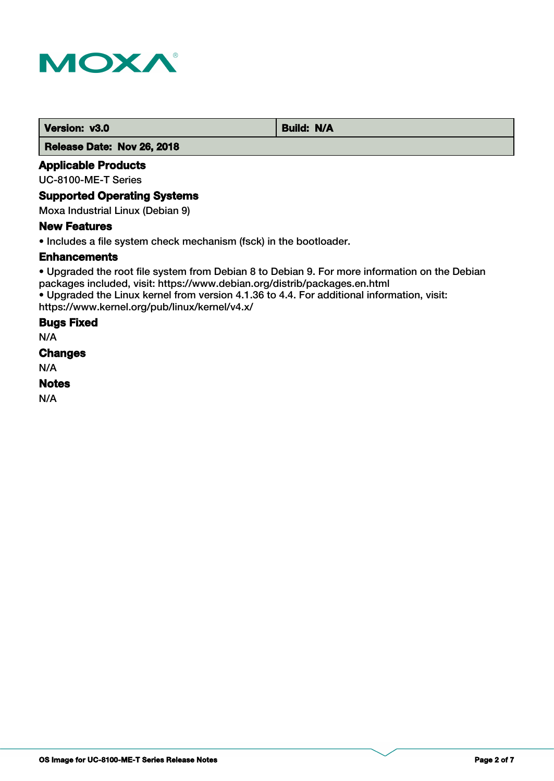

#### **Version: v3.0** Build: N/A

 **Release Date: Nov 26, 2018**

### **Applicable Products**

UC-8100-ME-T Series

# **Supported Operating Systems**

Moxa Industrial Linux (Debian 9)

#### **New Features**

• Includes a file system check mechanism (fsck) in the bootloader.

#### **Enhancements**

• Upgraded the root file system from Debian 8 to Debian 9. For more information on the Debian packages included, visit: https://www.debian.org/distrib/packages.en.html • Upgraded the Linux kernel from version 4.1.36 to 4.4. For additional information, visit:

https://www.kernel.org/pub/linux/kernel/v4.x/

# **Bugs Fixed**

N/A

**Changes**

N/A

#### **Notes**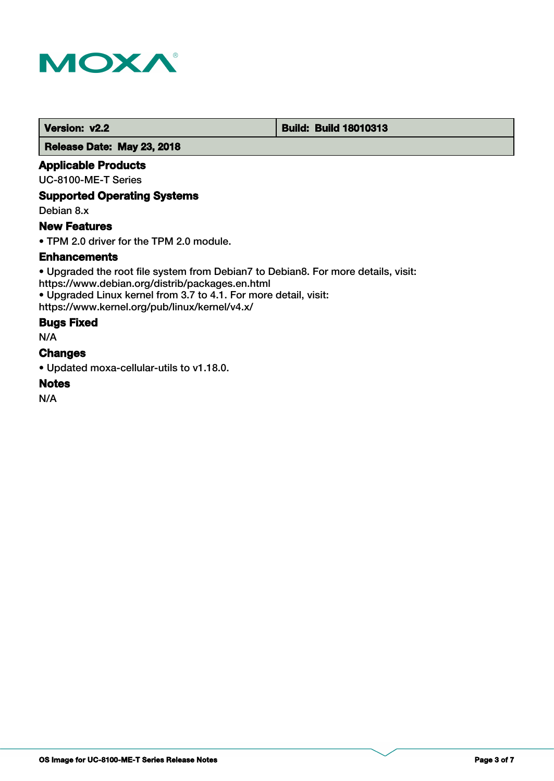

#### **Version: v2.2 Build: Build: Build 18010313**

 **Release Date: May 23, 2018**

#### **Applicable Products**

UC-8100-ME-T Series

### **Supported Operating Systems**

Debian 8.x

### **New Features**

• TPM 2.0 driver for the TPM 2.0 module.

### **Enhancements**

• Upgraded the root file system from Debian7 to Debian8. For more details, visit: https://www.debian.org/distrib/packages.en.html • Upgraded Linux kernel from 3.7 to 4.1. For more detail, visit: https://www.kernel.org/pub/linux/kernel/v4.x/

### **Bugs Fixed**

N/A

#### **Changes**

• Updated moxa-cellular-utils to v1.18.0.

#### **Notes**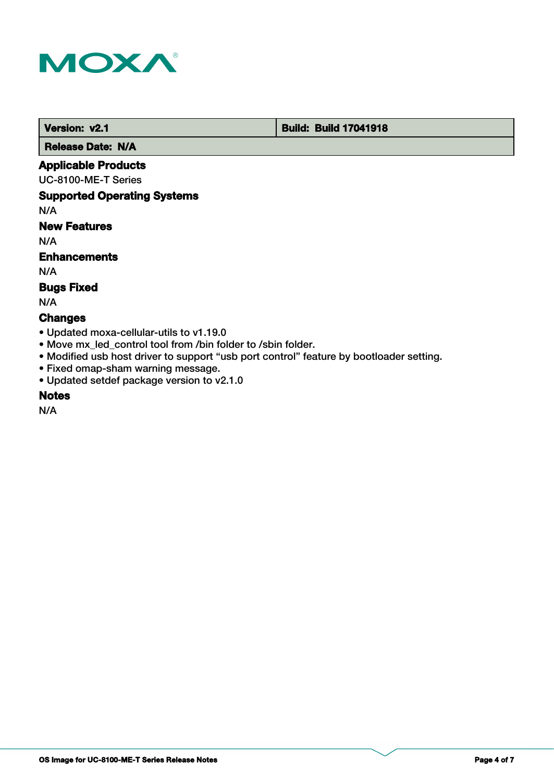

 **Version: v2.1 Build: Build: Build 17041918** 

 **Release Date: N/A**

### **Applicable Products**

UC-8100-ME-T Series

#### **Supported Operating Systems**

N/A

# **New Features**

N/A

#### **Enhancements**

N/A

#### **Bugs Fixed**

N/A

# **Changes**

- Updated moxa-cellular-utils to v1.19.0
- Move mx\_led\_control tool from /bin folder to /sbin folder.
- Modified usb host driver to support "usb port control" feature by bootloader setting.
- Fixed omap-sham warning message.
- Updated setdef package version to v2.1.0

# **Notes**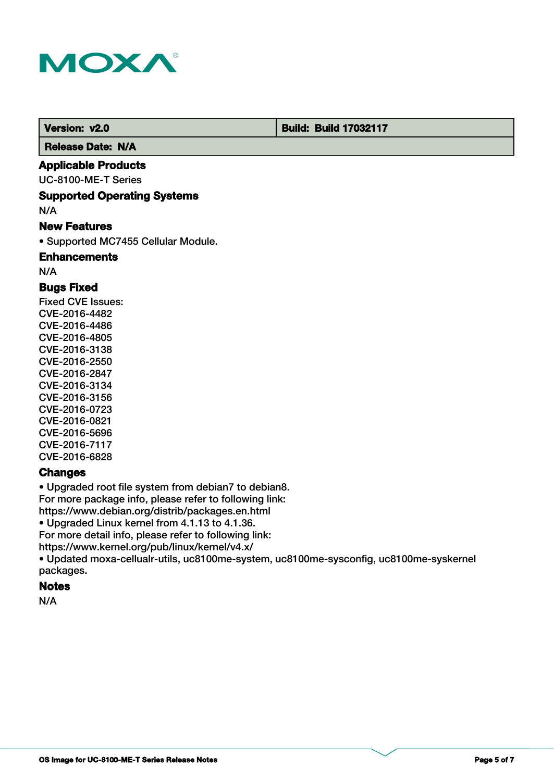

**Version: v2.0 Build: Build: Build 17032117** 

 **Release Date: N/A**

### **Applicable Products**

UC-8100-ME-T Series

#### **Supported Operating Systems**

N/A

#### **New Features**

• Supported MC7455 Cellular Module.

**Enhancements**

N/A

# **Bugs Fixed**

Fixed CVE Issues: CVE-2016-4482 CVE-2016-4486 CVE-2016-4805 CVE-2016-3138 CVE-2016-2550 CVE-2016-2847 CVE-2016-3134 CVE-2016-3156 CVE-2016-0723 CVE-2016-0821 CVE-2016-5696 CVE-2016-7117 CVE-2016-6828

#### **Changes**

• Upgraded root file system from debian7 to debian8. For more package info, please refer to following link: https://www.debian.org/distrib/packages.en.html • Upgraded Linux kernel from 4.1.13 to 4.1.36. For more detail info, please refer to following link:

https://www.kernel.org/pub/linux/kernel/v4.x/

• Updated moxa-cellualr-utils, uc8100me-system, uc8100me-sysconfig, uc8100me-syskernel packages.

#### **Notes**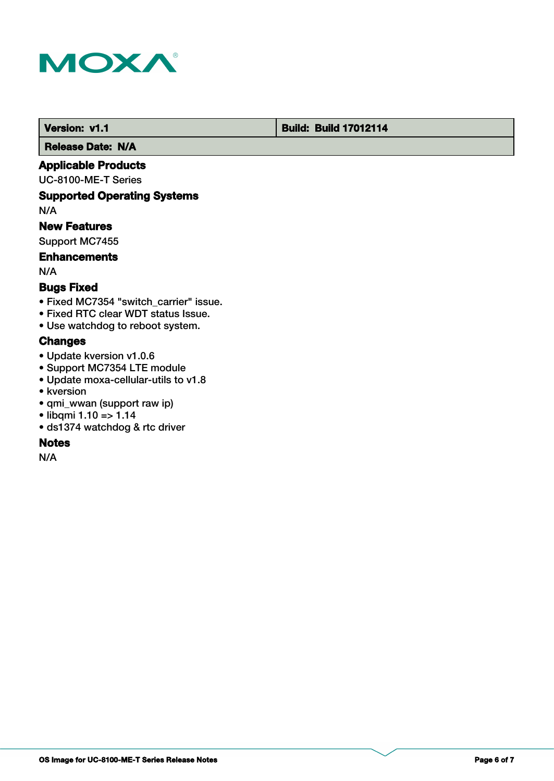

# **Version: v1.1 Version: v1.1 Build: Build: Build 17012114**

 **Release Date: N/A**

### **Applicable Products**

UC-8100-ME-T Series

# **Supported Operating Systems**

N/A

#### **New Features**

Support MC7455

# **Enhancements**

N/A

# **Bugs Fixed**

- Fixed MC7354 "switch carrier" issue.
- Fixed RTC clear WDT status Issue.
- Use watchdog to reboot system.

### **Changes**

- Update kversion v1.0.6
- Support MC7354 LTE module
- Update moxa-cellular-utils to v1.8
- kversion
- qmi\_wwan (support raw ip)
- libqmi 1.10 => 1.14
- ds1374 watchdog & rtc driver

# **Notes**